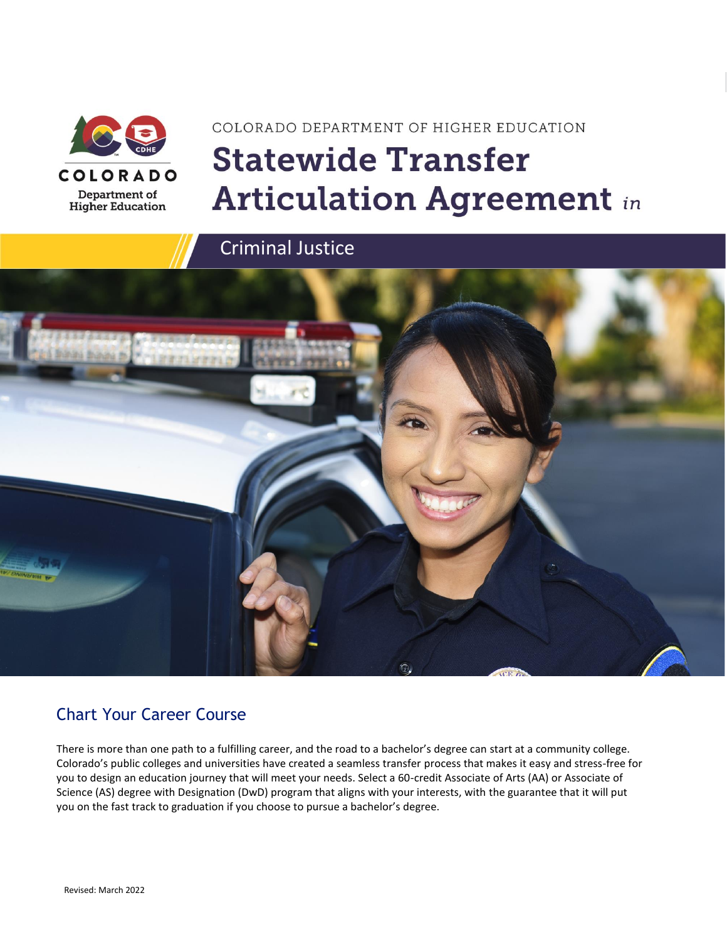

# COLORADO DEPARTMENT OF HIGHER EDUCATION **Statewide Transfer Articulation Agreement in**



### Chart Your Career Course

There is more than one path to a fulfilling career, and the road to a bachelor's degree can start at a community college. Colorado's public colleges and universities have created a seamless transfer process that makes it easy and stress-free for you to design an education journey that will meet your needs. Select a 60-credit Associate of Arts (AA) or Associate of Science (AS) degree with Designation (DwD) program that aligns with your interests, with the guarantee that it will put you on the fast track to graduation if you choose to pursue a bachelor's degree.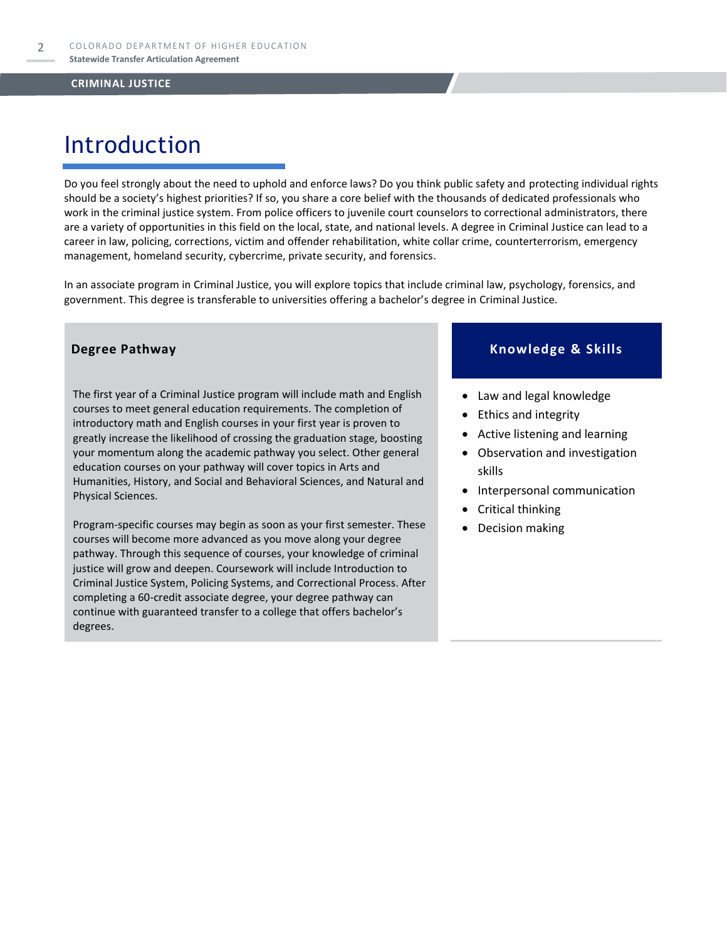## Introduction

Do you feel strongly about the need to uphold and enforce laws? Do you think public safety and protecting individual rights should be a society's highest priorities? If so, you share a core belief with the thousands of dedicated professionals who work in the criminal justice system. From police officers to juvenile court counselors to correctional administrators, there are a variety of opportunities in this field on the local, state, and national levels. A degree in Criminal Justice can lead to a career in law, policing, corrections, victim and offender rehabilitation, white collar crime, counterterrorism, emergency management, homeland security, cybercrime, private security, and forensics.

In an associate program in Criminal Justice, you will explore topics that include criminal law, psychology, forensics, and government. This degree is transferable to universities offering a bachelor's degree in Criminal Justice.

The first year of a Criminal Justice program will include math and English courses to meet general education requirements. The completion of introductory math and English courses in your first year is proven to greatly increase the likelihood of crossing the graduation stage, boosting your momentum along the academic pathway you select. Other general education courses on your pathway will cover topics in Arts and Humanities, History, and Social and Behavioral Sciences, and Natural and Physical Sciences.

Program-specific courses may begin as soon as your first semester. These courses will become more advanced as you move along your degree pathway. Through this sequence of courses, your knowledge of criminal justice will grow and deepen. Coursework will include Introduction to Criminal Justice System, Policing Systems, and Correctional Process. After completing a 60-credit associate degree, your degree pathway can continue with guaranteed transfer to a college that offers bachelor's degrees.

#### **Degree Pathway Knowledge & Skills**

- Law and legal knowledge
- Ethics and integrity
- Active listening and learning
- Observation and investigation skills
- Interpersonal communication
- Critical thinking
- Decision making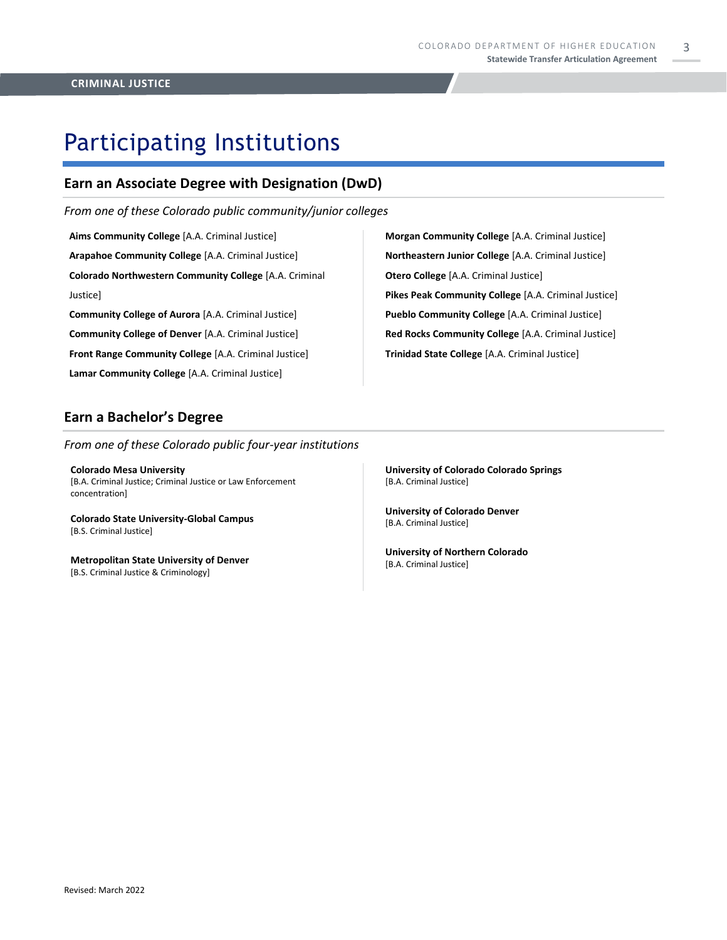3

## Participating Institutions

### **Earn an Associate Degree with Designation (DwD)**

*From one of these Colorado public community/junior colleges*

**Aims Community College** [A.A. Criminal Justice] **Arapahoe Community College** [A.A. Criminal Justice] **Colorado Northwestern Community College** [A.A. Criminal Justice]

**Community College of Aurora** [A.A. Criminal Justice] **Community College of Denver** [A.A. Criminal Justice] **Front Range Community College** [A.A. Criminal Justice] **Lamar Community College** [A.A. Criminal Justice]

**Morgan Community College** [A.A. Criminal Justice] **Northeastern Junior College** [A.A. Criminal Justice] **Otero College** [A.A. Criminal Justice] **Pikes Peak Community College** [A.A. Criminal Justice] **Pueblo Community College** [A.A. Criminal Justice] **Red Rocks Community College** [A.A. Criminal Justice] **Trinidad State College** [A.A. Criminal Justice]

### **Earn a Bachelor's Degree**

#### *From one of these Colorado public four-year institutions*

**Colorado Mesa University**  [B.A. Criminal Justice; Criminal Justice or Law Enforcement concentration]

**Colorado State University-Global Campus** [B.S. Criminal Justice]

**Metropolitan State University of Denver**  [B.S. Criminal Justice & Criminology]

**University of Colorado Colorado Springs** [B.A. Criminal Justice]

**University of Colorado Denver** [B.A. Criminal Justice]

**University of Northern Colorado** [B.A. Criminal Justice]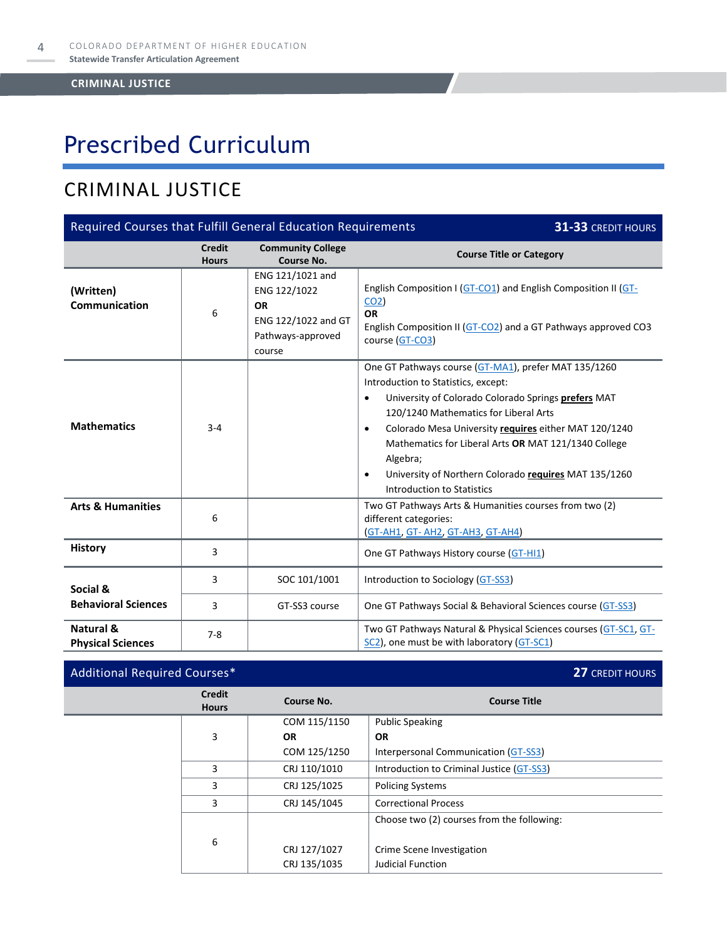# Prescribed Curriculum

### CRIMINAL JUSTICE

| Required Courses that Fulfill General Education Requirements<br>31-33 CREDIT HOURS |                               |                                                                                                     |                                                                                                                                                                                                                                                                                                                                                                                                                                                               |  |
|------------------------------------------------------------------------------------|-------------------------------|-----------------------------------------------------------------------------------------------------|---------------------------------------------------------------------------------------------------------------------------------------------------------------------------------------------------------------------------------------------------------------------------------------------------------------------------------------------------------------------------------------------------------------------------------------------------------------|--|
|                                                                                    | <b>Credit</b><br><b>Hours</b> | <b>Community College</b><br>Course No.                                                              | <b>Course Title or Category</b>                                                                                                                                                                                                                                                                                                                                                                                                                               |  |
| (Written)<br>Communication                                                         | 6                             | ENG 121/1021 and<br>ENG 122/1022<br><b>OR</b><br>ENG 122/1022 and GT<br>Pathways-approved<br>course | English Composition I (GT-CO1) and English Composition II (GT-<br>CO <sub>2</sub><br><b>OR</b><br>English Composition II (GT-CO2) and a GT Pathways approved CO3<br>course (GT-CO3)                                                                                                                                                                                                                                                                           |  |
| <b>Mathematics</b>                                                                 | $3 - 4$                       |                                                                                                     | One GT Pathways course (GT-MA1), prefer MAT 135/1260<br>Introduction to Statistics, except:<br>University of Colorado Colorado Springs prefers MAT<br>$\bullet$<br>120/1240 Mathematics for Liberal Arts<br>Colorado Mesa University requires either MAT 120/1240<br>$\bullet$<br>Mathematics for Liberal Arts OR MAT 121/1340 College<br>Algebra;<br>University of Northern Colorado requires MAT 135/1260<br>$\bullet$<br><b>Introduction to Statistics</b> |  |
| <b>Arts &amp; Humanities</b>                                                       | 6                             |                                                                                                     | Two GT Pathways Arts & Humanities courses from two (2)<br>different categories:<br>(GT-AH1, GT-AH2, GT-AH3, GT-AH4)                                                                                                                                                                                                                                                                                                                                           |  |
| <b>History</b>                                                                     | 3                             |                                                                                                     | One GT Pathways History course (GT-HI1)                                                                                                                                                                                                                                                                                                                                                                                                                       |  |
| Social &                                                                           | 3                             | SOC 101/1001                                                                                        | Introduction to Sociology (GT-SS3)                                                                                                                                                                                                                                                                                                                                                                                                                            |  |
| <b>Behavioral Sciences</b>                                                         | 3                             | GT-SS3 course                                                                                       | One GT Pathways Social & Behavioral Sciences course (GT-SS3)                                                                                                                                                                                                                                                                                                                                                                                                  |  |
| Natural &<br><b>Physical Sciences</b>                                              | $7 - 8$                       |                                                                                                     | Two GT Pathways Natural & Physical Sciences courses (GT-SC1, GT-<br>SC2), one must be with laboratory (GT-SC1)                                                                                                                                                                                                                                                                                                                                                |  |

### Additional Required Courses\* **27** CREDIT HOURS

|                   | <b>Credit</b><br><b>Hours</b> | Course No.   | <b>Course Title</b>                        |
|-------------------|-------------------------------|--------------|--------------------------------------------|
|                   |                               | COM 115/1150 | <b>Public Speaking</b>                     |
|                   | 3                             | <b>OR</b>    | <b>OR</b>                                  |
|                   |                               | COM 125/1250 | Interpersonal Communication (GT-SS3)       |
| 3                 |                               | CRJ 110/1010 | Introduction to Criminal Justice (GT-SS3)  |
| 3                 |                               | CRJ 125/1025 | <b>Policing Systems</b>                    |
| CRJ 145/1045<br>3 |                               |              | <b>Correctional Process</b>                |
|                   |                               |              | Choose two (2) courses from the following: |
|                   | 6                             |              |                                            |
|                   |                               | CRJ 127/1027 | Crime Scene Investigation                  |
|                   |                               | CRJ 135/1035 | Judicial Function                          |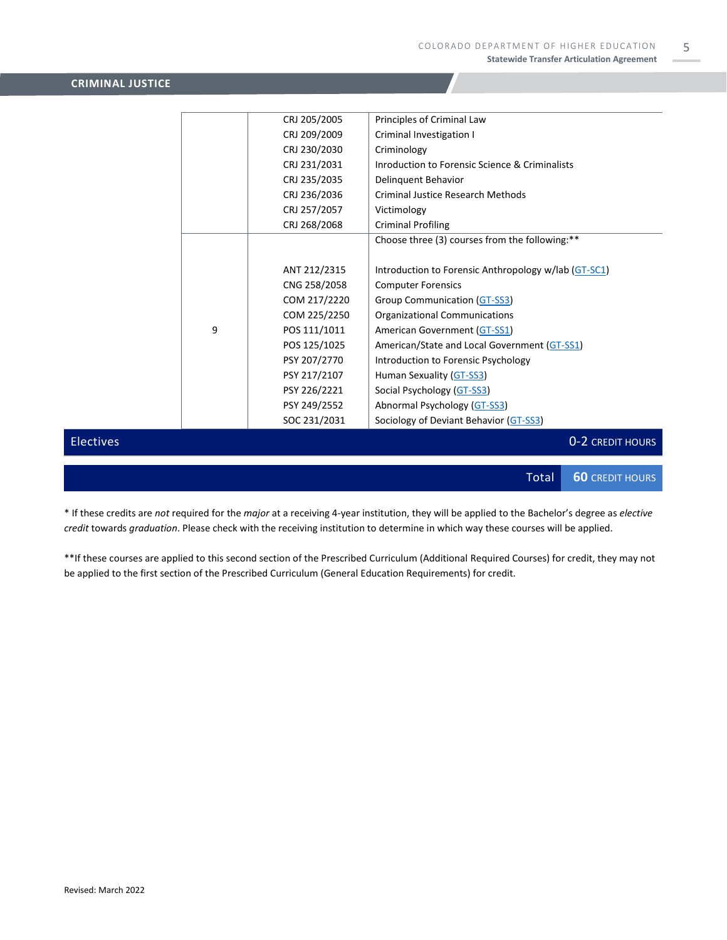5

#### **CRIMINAL JUSTICE**

|                  |   | CRJ 205/2005 | Principles of Criminal Law                           |
|------------------|---|--------------|------------------------------------------------------|
|                  |   | CRJ 209/2009 | Criminal Investigation I                             |
|                  |   | CRJ 230/2030 | Criminology                                          |
|                  |   | CRJ 231/2031 | Inroduction to Forensic Science & Criminalists       |
|                  |   | CRJ 235/2035 | Delinquent Behavior                                  |
|                  |   | CRJ 236/2036 | <b>Criminal Justice Research Methods</b>             |
|                  |   | CRJ 257/2057 | Victimology                                          |
|                  |   | CRJ 268/2068 | <b>Criminal Profiling</b>                            |
|                  |   |              | Choose three (3) courses from the following:**       |
|                  |   |              |                                                      |
|                  |   | ANT 212/2315 | Introduction to Forensic Anthropology w/lab (GT-SC1) |
|                  |   | CNG 258/2058 | <b>Computer Forensics</b>                            |
|                  |   | COM 217/2220 | Group Communication (GT-SS3)                         |
|                  |   | COM 225/2250 | Organizational Communications                        |
|                  | 9 | POS 111/1011 | American Government (GT-SS1)                         |
|                  |   | POS 125/1025 | American/State and Local Government (GT-SS1)         |
|                  |   | PSY 207/2770 | Introduction to Forensic Psychology                  |
|                  |   | PSY 217/2107 | Human Sexuality (GT-SS3)                             |
|                  |   | PSY 226/2221 | Social Psychology (GT-SS3)                           |
|                  |   | PSY 249/2552 | Abnormal Psychology (GT-SS3)                         |
|                  |   | SOC 231/2031 | Sociology of Deviant Behavior (GT-SS3)               |
| <b>Electives</b> |   |              | 0-2 CREDIT HOURS                                     |
|                  |   |              |                                                      |

Total **60** CREDIT HOURS

\* If these credits are *not* required for the *major* at a receiving 4-year institution, they will be applied to the Bachelor's degree as *elective credit* towards *graduation*. Please check with the receiving institution to determine in which way these courses will be applied.

\*\*If these courses are applied to this second section of the Prescribed Curriculum (Additional Required Courses) for credit, they may not be applied to the first section of the Prescribed Curriculum (General Education Requirements) for credit.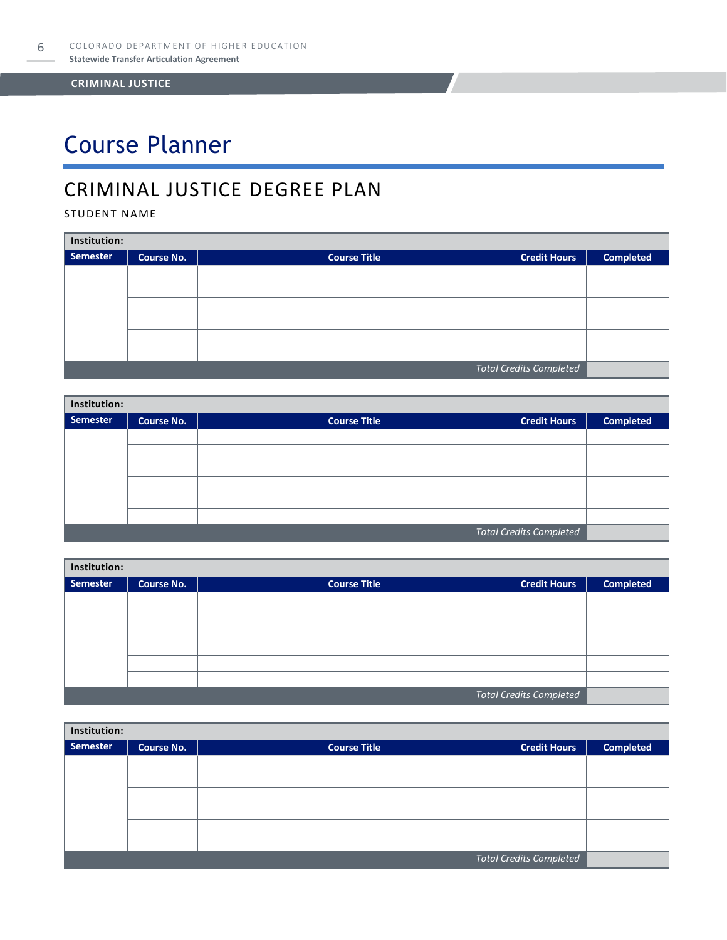# Course Planner

### CRIMINAL JUSTICE DEGREE PLAN

#### STUDENT NAME

| Institution:                   |                   |                     |                     |                  |  |  |
|--------------------------------|-------------------|---------------------|---------------------|------------------|--|--|
| <b>Semester</b>                | <b>Course No.</b> | <b>Course Title</b> | <b>Credit Hours</b> | <b>Completed</b> |  |  |
|                                |                   |                     |                     |                  |  |  |
|                                |                   |                     |                     |                  |  |  |
|                                |                   |                     |                     |                  |  |  |
|                                |                   |                     |                     |                  |  |  |
|                                |                   |                     |                     |                  |  |  |
|                                |                   |                     |                     |                  |  |  |
| <b>Total Credits Completed</b> |                   |                     |                     |                  |  |  |

| Institution:                   |                   |                     |                     |                  |  |  |
|--------------------------------|-------------------|---------------------|---------------------|------------------|--|--|
| Semester                       | <b>Course No.</b> | <b>Course Title</b> | <b>Credit Hours</b> | <b>Completed</b> |  |  |
|                                |                   |                     |                     |                  |  |  |
|                                |                   |                     |                     |                  |  |  |
|                                |                   |                     |                     |                  |  |  |
|                                |                   |                     |                     |                  |  |  |
|                                |                   |                     |                     |                  |  |  |
|                                |                   |                     |                     |                  |  |  |
| <b>Total Credits Completed</b> |                   |                     |                     |                  |  |  |

| Institution: |                   |                     |                                |                  |  |  |
|--------------|-------------------|---------------------|--------------------------------|------------------|--|--|
| Semester     | <b>Course No.</b> | <b>Course Title</b> | <b>Credit Hours</b>            | <b>Completed</b> |  |  |
|              |                   |                     |                                |                  |  |  |
|              |                   |                     |                                |                  |  |  |
|              |                   |                     |                                |                  |  |  |
|              |                   |                     |                                |                  |  |  |
|              |                   |                     |                                |                  |  |  |
|              |                   |                     |                                |                  |  |  |
|              |                   |                     | <b>Total Credits Completed</b> |                  |  |  |

| Institution: |                         |                     |                     |                  |  |  |
|--------------|-------------------------|---------------------|---------------------|------------------|--|--|
| Semester     | <b>Course No.</b>       | <b>Course Title</b> | <b>Credit Hours</b> | <b>Completed</b> |  |  |
|              |                         |                     |                     |                  |  |  |
|              |                         |                     |                     |                  |  |  |
|              |                         |                     |                     |                  |  |  |
|              |                         |                     |                     |                  |  |  |
|              |                         |                     |                     |                  |  |  |
|              |                         |                     |                     |                  |  |  |
|              | Total Credits Completed |                     |                     |                  |  |  |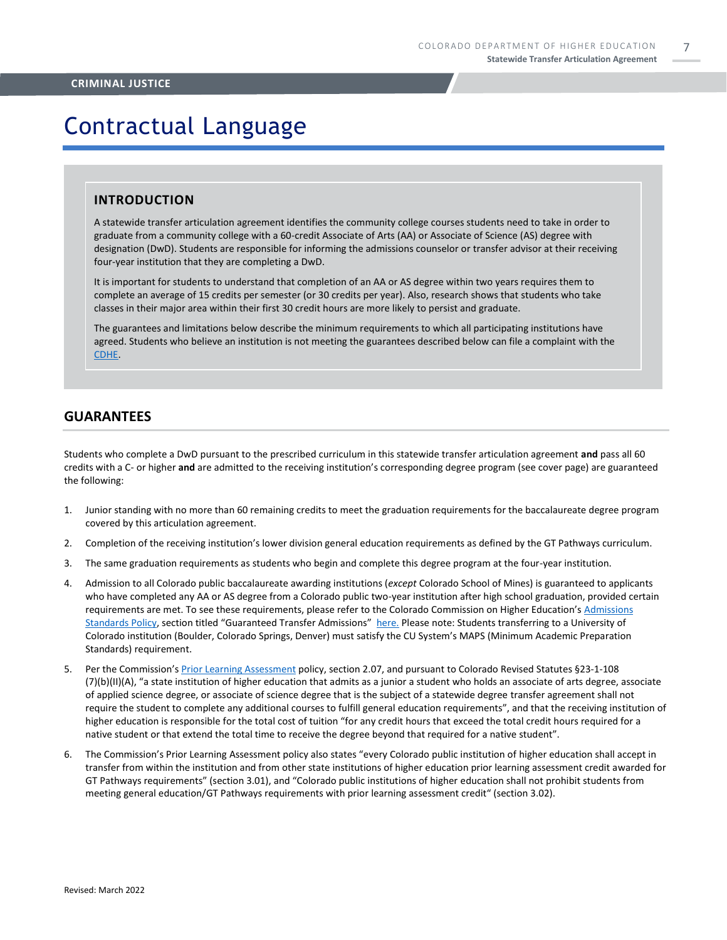## Contractual Language

#### **INTRODUCTION**

A statewide transfer articulation agreement identifies the community college courses students need to take in order to graduate from a community college with a 60-credit Associate of Arts (AA) or Associate of Science (AS) degree with designation (DwD). Students are responsible for informing the admissions counselor or transfer advisor at their receiving four-year institution that they are completing a DwD.

It is important for students to understand that completion of an AA or AS degree within two years requires them to complete an average of 15 credits per semester (or 30 credits per year). Also, research shows that students who take classes in their major area within their first 30 credit hours are more likely to persist and graduate.

The guarantees and limitations below describe the minimum requirements to which all participating institutions have agreed. Students who believe an institution is not meeting the guarantees described below can file a complaint with the [CDHE.](https://highered.colorado.gov/filing-student-complaint)

#### **GUARANTEES**

Students who complete a DwD pursuant to the prescribed curriculum in this statewide transfer articulation agreement **and** pass all 60 credits with a C- or higher **and** are admitted to the receiving institution's corresponding degree program (see cover page) are guaranteed the following:

- 1. Junior standing with no more than 60 remaining credits to meet the graduation requirements for the baccalaureate degree program covered by this articulation agreement.
- 2. Completion of the receiving institution's lower division general education requirements as defined by the GT Pathways curriculum.
- 3. The same graduation requirements as students who begin and complete this degree program at the four-year institution.
- 4. Admission to all Colorado public baccalaureate awarding institutions (*except* Colorado School of Mines) is guaranteed to applicants who have completed any AA or AS degree from a Colorado public two-year institution after high school graduation, provided certain requirements are met. To see these requirements, please refer to the Colorado Commission on Higher Education's [Admissions](https://highered.colorado.gov/sites/highered/files/2020-03/i-partf_0.pdf)  [Standards Policy](https://highered.colorado.gov/sites/highered/files/2020-03/i-partf_0.pdf), section titled "Guaranteed Transfer Admissions" [here.](https://highered.colorado.gov/educators/policy-funding/cche-policies-procedures) Please note: Students transferring to a University of Colorado institution (Boulder, Colorado Springs, Denver) must satisfy the CU System's MAPS (Minimum Academic Preparation Standards) requirement.
- 5. Per the Commission's [Prior Learning Assessment](https://highered.colorado.gov/sites/highered/files/2020-03/i-partx.pdf) policy, section 2.07, and pursuant to Colorado Revised Statutes §23-1-108 (7)(b)(II)(A), "a state institution of higher education that admits as a junior a student who holds an associate of arts degree, associate of applied science degree, or associate of science degree that is the subject of a statewide degree transfer agreement shall not require the student to complete any additional courses to fulfill general education requirements", and that the receiving institution of higher education is responsible for the total cost of tuition "for any credit hours that exceed the total credit hours required for a native student or that extend the total time to receive the degree beyond that required for a native student".
- 6. The Commission's Prior Learning Assessment policy also states "every Colorado public institution of higher education shall accept in transfer from within the institution and from other state institutions of higher education prior learning assessment credit awarded for GT Pathways requirements" (section 3.01), and "Colorado public institutions of higher education shall not prohibit students from meeting general education/GT Pathways requirements with prior learning assessment credit" (section 3.02).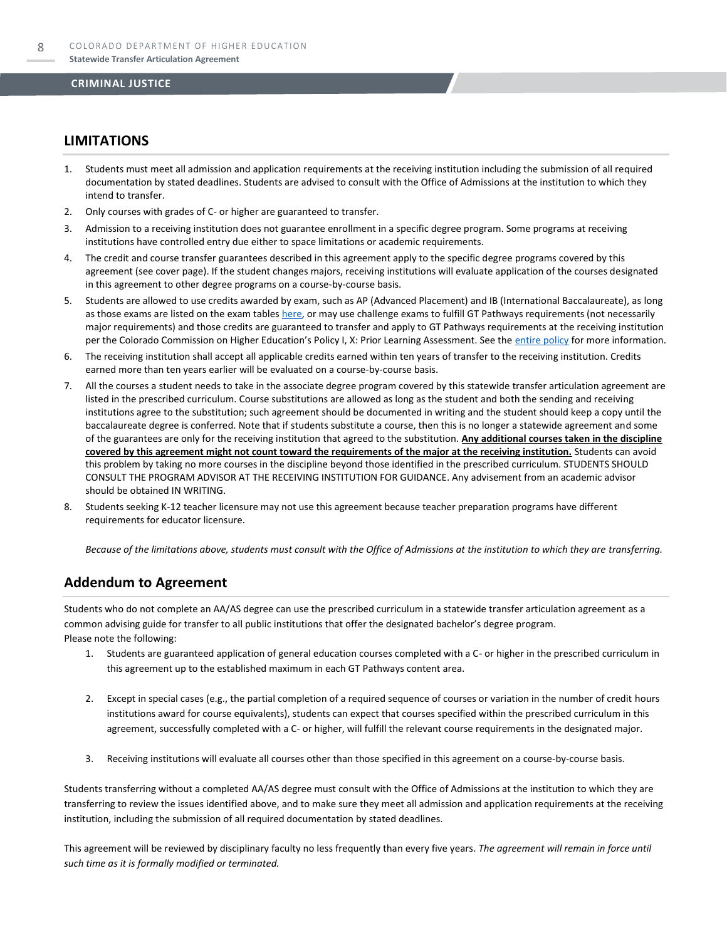#### **LIMITATIONS**

- 1. Students must meet all admission and application requirements at the receiving institution including the submission of all required documentation by stated deadlines. Students are advised to consult with the Office of Admissions at the institution to which they intend to transfer.
- 2. Only courses with grades of C- or higher are guaranteed to transfer.
- 3. Admission to a receiving institution does not guarantee enrollment in a specific degree program. Some programs at receiving institutions have controlled entry due either to space limitations or academic requirements.
- 4. The credit and course transfer guarantees described in this agreement apply to the specific degree programs covered by this agreement (see cover page). If the student changes majors, receiving institutions will evaluate application of the courses designated in this agreement to other degree programs on a course-by-course basis.
- 5. Students are allowed to use credits awarded by exam, such as AP (Advanced Placement) and IB (International Baccalaureate), as long as those exams are listed on the exam table[s here,](https://highered.colorado.gov/get-credit-for-what-you-already-know) or may use challenge exams to fulfill GT Pathways requirements (not necessarily major requirements) and those credits are guaranteed to transfer and apply to GT Pathways requirements at the receiving institution per the Colorado Commission on Higher Education's Policy I, X: Prior Learning Assessment. See the [entire policy](https://highered.colorado.gov/sites/highered/files/2020-03/i-partx.pdf) for more information.
- 6. The receiving institution shall accept all applicable credits earned within ten years of transfer to the receiving institution. Credits earned more than ten years earlier will be evaluated on a course-by-course basis.
- 7. All the courses a student needs to take in the associate degree program covered by this statewide transfer articulation agreement are listed in the prescribed curriculum. Course substitutions are allowed as long as the student and both the sending and receiving institutions agree to the substitution; such agreement should be documented in writing and the student should keep a copy until the baccalaureate degree is conferred. Note that if students substitute a course, then this is no longer a statewide agreement and some of the guarantees are only for the receiving institution that agreed to the substitution. **Any additional courses taken in the discipline covered by this agreement might not count toward the requirements of the major at the receiving institution.** Students can avoid this problem by taking no more courses in the discipline beyond those identified in the prescribed curriculum. STUDENTS SHOULD CONSULT THE PROGRAM ADVISOR AT THE RECEIVING INSTITUTION FOR GUIDANCE. Any advisement from an academic advisor should be obtained IN WRITING.
- Students seeking K-12 teacher licensure may not use this agreement because teacher preparation programs have different requirements for educator licensure.

*Because of the limitations above, students must consult with the Office of Admissions at the institution to which they are transferring.*

#### **Addendum to Agreement**

Students who do not complete an AA/AS degree can use the prescribed curriculum in a statewide transfer articulation agreement as a common advising guide for transfer to all public institutions that offer the designated bachelor's degree program. Please note the following:

- 1. Students are guaranteed application of general education courses completed with a C- or higher in the prescribed curriculum in this agreement up to the established maximum in each GT Pathways content area.
- 2. Except in special cases (e.g., the partial completion of a required sequence of courses or variation in the number of credit hours institutions award for course equivalents), students can expect that courses specified within the prescribed curriculum in this agreement, successfully completed with a C- or higher, will fulfill the relevant course requirements in the designated major.
- 3. Receiving institutions will evaluate all courses other than those specified in this agreement on a course-by-course basis.

Students transferring without a completed AA/AS degree must consult with the Office of Admissions at the institution to which they are transferring to review the issues identified above, and to make sure they meet all admission and application requirements at the receiving institution, including the submission of all required documentation by stated deadlines.

This agreement will be reviewed by disciplinary faculty no less frequently than every five years. *The agreement will remain in force until such time as it is formally modified or terminated.*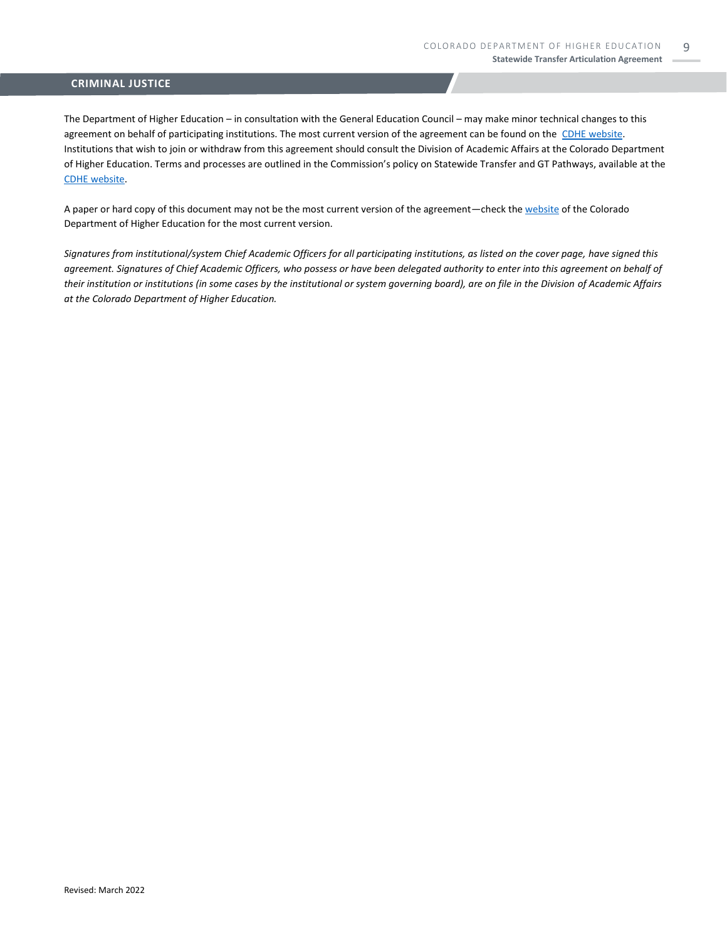The Department of Higher Education – in consultation with the General Education Council – may make minor technical changes to this agreement on behalf of participating institutions. The most current version of the agreement can be found on the [CDHE website.](https://highered.colorado.gov/transfer-degrees) Institutions that wish to join or withdraw from this agreement should consult the Division of Academic Affairs at the Colorado Department of Higher Education. Terms and processes are outlined in the Commission's policy on Statewide Transfer and GT Pathways, available at the [CDHE website.](https://highered.colorado.gov/educators/policy-funding/general-education-ge-council/gtpathways/transfer-agreements)

A paper or hard copy of this document may not be the most current version of the agreement—check th[e website](https://highered.colorado.gov/transfer-degrees) of the Colorado Department of Higher Education for the most current version.

*Signatures from institutional/system Chief Academic Officers for all participating institutions, as listed on the cover page, have signed this agreement. Signatures of Chief Academic Officers, who possess or have been delegated authority to enter into this agreement on behalf of their institution or institutions (in some cases by the institutional or system governing board), are on file in the Division of Academic Affairs at the Colorado Department of Higher Education.*